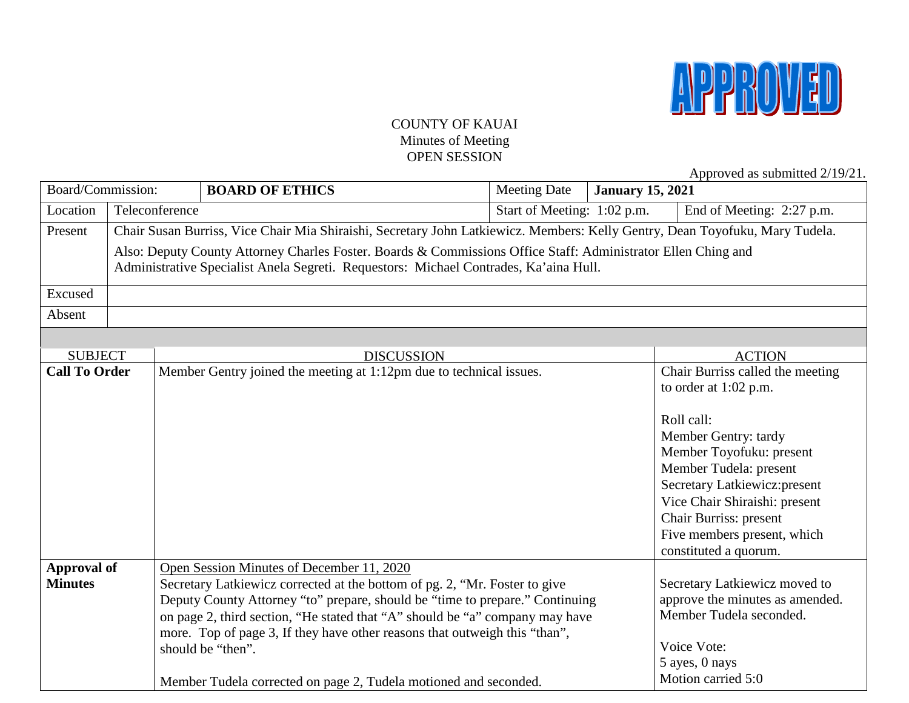

### COUNTY OF KAUAI Minutes of Meeting OPEN SESSION

Approved as submitted 2/19/21.

| Board/Commission:    |  |                                                                                                                              | <b>BOARD OF ETHICS</b>                                                                                                                                     | <b>Meeting Date</b>         | - TL<br><b>January 15, 2021</b> |                                                            |
|----------------------|--|------------------------------------------------------------------------------------------------------------------------------|------------------------------------------------------------------------------------------------------------------------------------------------------------|-----------------------------|---------------------------------|------------------------------------------------------------|
| Location             |  | Teleconference                                                                                                               |                                                                                                                                                            | Start of Meeting: 1:02 p.m. |                                 | End of Meeting: 2:27 p.m.                                  |
| Present              |  | Chair Susan Burriss, Vice Chair Mia Shiraishi, Secretary John Latkiewicz. Members: Kelly Gentry, Dean Toyofuku, Mary Tudela. |                                                                                                                                                            |                             |                                 |                                                            |
|                      |  |                                                                                                                              | Also: Deputy County Attorney Charles Foster. Boards & Commissions Office Staff: Administrator Ellen Ching and                                              |                             |                                 |                                                            |
|                      |  |                                                                                                                              | Administrative Specialist Anela Segreti. Requestors: Michael Contrades, Ka'aina Hull.                                                                      |                             |                                 |                                                            |
| Excused              |  |                                                                                                                              |                                                                                                                                                            |                             |                                 |                                                            |
|                      |  |                                                                                                                              |                                                                                                                                                            |                             |                                 |                                                            |
| Absent               |  |                                                                                                                              |                                                                                                                                                            |                             |                                 |                                                            |
|                      |  |                                                                                                                              |                                                                                                                                                            |                             |                                 |                                                            |
| <b>SUBJECT</b>       |  |                                                                                                                              | <b>DISCUSSION</b>                                                                                                                                          |                             |                                 | <b>ACTION</b>                                              |
| <b>Call To Order</b> |  |                                                                                                                              | Member Gentry joined the meeting at 1:12pm due to technical issues.                                                                                        |                             |                                 | Chair Burriss called the meeting                           |
|                      |  |                                                                                                                              |                                                                                                                                                            |                             |                                 | to order at $1:02$ p.m.                                    |
|                      |  |                                                                                                                              |                                                                                                                                                            |                             |                                 | Roll call:                                                 |
|                      |  |                                                                                                                              |                                                                                                                                                            |                             |                                 | Member Gentry: tardy                                       |
|                      |  |                                                                                                                              |                                                                                                                                                            |                             |                                 | Member Toyofuku: present                                   |
|                      |  |                                                                                                                              |                                                                                                                                                            |                             |                                 | Member Tudela: present                                     |
|                      |  |                                                                                                                              |                                                                                                                                                            |                             |                                 | Secretary Latkiewicz:present                               |
|                      |  |                                                                                                                              |                                                                                                                                                            |                             |                                 | Vice Chair Shiraishi: present                              |
|                      |  |                                                                                                                              |                                                                                                                                                            |                             |                                 | Chair Burriss: present                                     |
|                      |  |                                                                                                                              |                                                                                                                                                            |                             |                                 | Five members present, which                                |
|                      |  |                                                                                                                              |                                                                                                                                                            |                             |                                 | constituted a quorum.                                      |
| Approval of          |  |                                                                                                                              | Open Session Minutes of December 11, 2020                                                                                                                  |                             |                                 |                                                            |
| <b>Minutes</b>       |  |                                                                                                                              | Secretary Latkiewicz corrected at the bottom of pg. 2, "Mr. Foster to give                                                                                 |                             |                                 | Secretary Latkiewicz moved to                              |
|                      |  |                                                                                                                              | Deputy County Attorney "to" prepare, should be "time to prepare." Continuing                                                                               |                             |                                 | approve the minutes as amended.<br>Member Tudela seconded. |
|                      |  |                                                                                                                              | on page 2, third section, "He stated that "A" should be "a" company may have<br>more. Top of page 3, If they have other reasons that outweigh this "than", |                             |                                 |                                                            |
|                      |  |                                                                                                                              | should be "then".                                                                                                                                          |                             |                                 | Voice Vote:                                                |
|                      |  |                                                                                                                              |                                                                                                                                                            |                             |                                 | 5 ayes, 0 nays                                             |
|                      |  |                                                                                                                              | Member Tudela corrected on page 2, Tudela motioned and seconded.                                                                                           |                             |                                 | Motion carried 5:0                                         |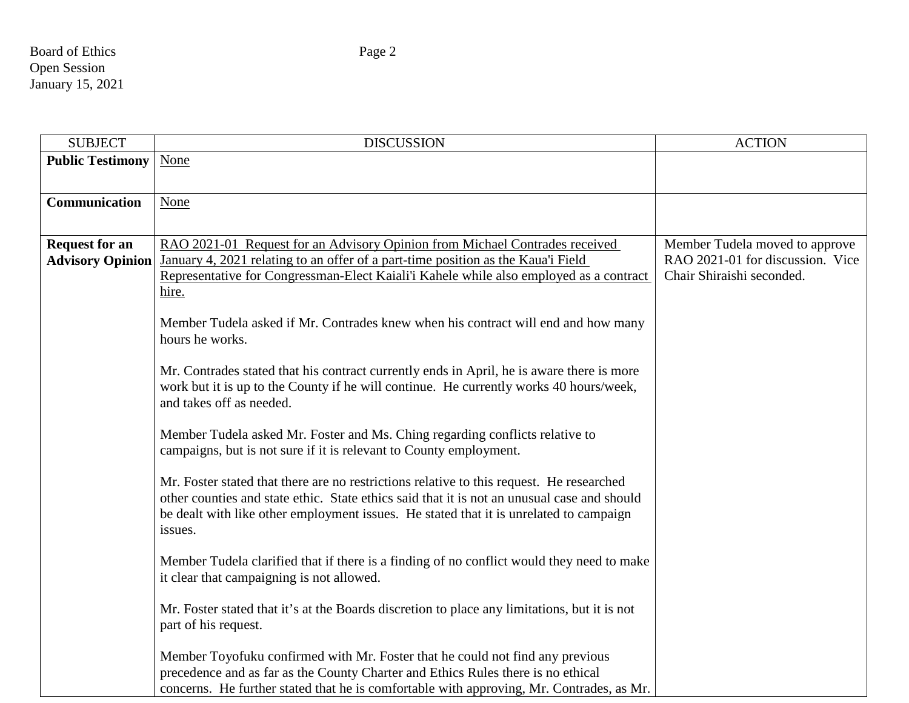| <b>SUBJECT</b>                                   | <b>DISCUSSION</b>                                                                                                                                                                                                                                                                                                                                                                                                                                                                                                                                                                                                                                                                                                                                                                                                                                                                                                                                                                                                                                                                                                                                                                                                                                                                                                                                                                                                                                                                          | <b>ACTION</b>                                                                                   |
|--------------------------------------------------|--------------------------------------------------------------------------------------------------------------------------------------------------------------------------------------------------------------------------------------------------------------------------------------------------------------------------------------------------------------------------------------------------------------------------------------------------------------------------------------------------------------------------------------------------------------------------------------------------------------------------------------------------------------------------------------------------------------------------------------------------------------------------------------------------------------------------------------------------------------------------------------------------------------------------------------------------------------------------------------------------------------------------------------------------------------------------------------------------------------------------------------------------------------------------------------------------------------------------------------------------------------------------------------------------------------------------------------------------------------------------------------------------------------------------------------------------------------------------------------------|-------------------------------------------------------------------------------------------------|
| <b>Public Testimony</b>                          | None                                                                                                                                                                                                                                                                                                                                                                                                                                                                                                                                                                                                                                                                                                                                                                                                                                                                                                                                                                                                                                                                                                                                                                                                                                                                                                                                                                                                                                                                                       |                                                                                                 |
| Communication                                    | None                                                                                                                                                                                                                                                                                                                                                                                                                                                                                                                                                                                                                                                                                                                                                                                                                                                                                                                                                                                                                                                                                                                                                                                                                                                                                                                                                                                                                                                                                       |                                                                                                 |
| <b>Request for an</b><br><b>Advisory Opinion</b> | RAO 2021-01 Request for an Advisory Opinion from Michael Contrades received<br>January 4, 2021 relating to an offer of a part-time position as the Kaua'i Field<br>Representative for Congressman-Elect Kaiali'i Kahele while also employed as a contract<br>hire.<br>Member Tudela asked if Mr. Contrades knew when his contract will end and how many<br>hours he works.<br>Mr. Contrades stated that his contract currently ends in April, he is aware there is more<br>work but it is up to the County if he will continue. He currently works 40 hours/week,<br>and takes off as needed.<br>Member Tudela asked Mr. Foster and Ms. Ching regarding conflicts relative to<br>campaigns, but is not sure if it is relevant to County employment.<br>Mr. Foster stated that there are no restrictions relative to this request. He researched<br>other counties and state ethic. State ethics said that it is not an unusual case and should<br>be dealt with like other employment issues. He stated that it is unrelated to campaign<br>issues.<br>Member Tudela clarified that if there is a finding of no conflict would they need to make<br>it clear that campaigning is not allowed.<br>Mr. Foster stated that it's at the Boards discretion to place any limitations, but it is not<br>part of his request.<br>Member Toyofuku confirmed with Mr. Foster that he could not find any previous<br>precedence and as far as the County Charter and Ethics Rules there is no ethical | Member Tudela moved to approve<br>RAO 2021-01 for discussion. Vice<br>Chair Shiraishi seconded. |

concerns. He further stated that he is comfortable with approving, Mr. Contrades, as Mr.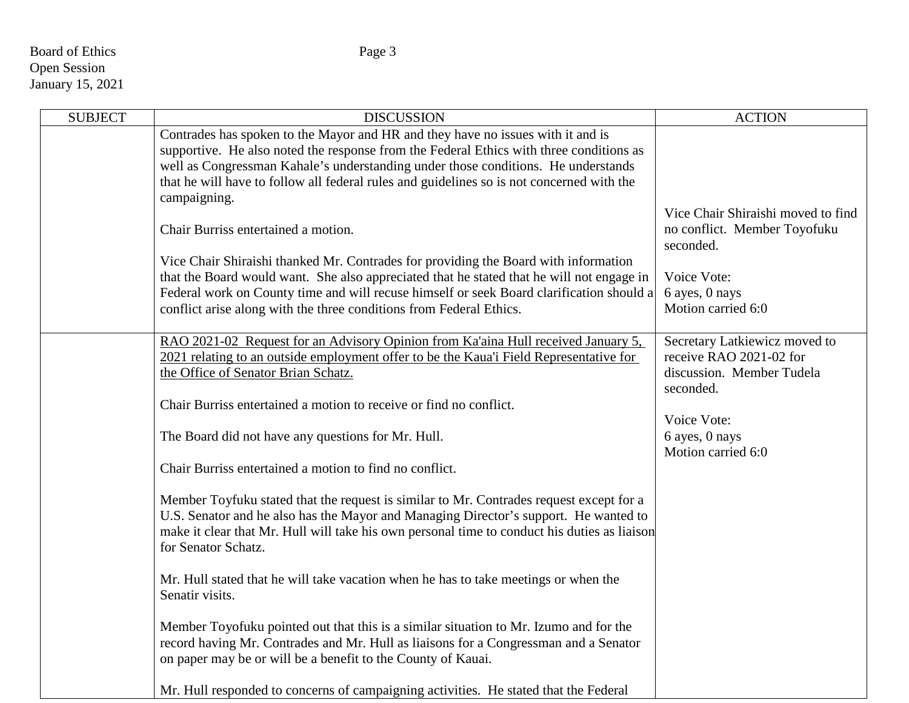# Board of Ethics Page 3 Open Session January 15, 2021

| <b>SUBJECT</b> | <b>DISCUSSION</b>                                                                            | <b>ACTION</b>                        |
|----------------|----------------------------------------------------------------------------------------------|--------------------------------------|
|                | Contrades has spoken to the Mayor and HR and they have no issues with it and is              |                                      |
|                | supportive. He also noted the response from the Federal Ethics with three conditions as      |                                      |
|                | well as Congressman Kahale's understanding under those conditions. He understands            |                                      |
|                | that he will have to follow all federal rules and guidelines so is not concerned with the    |                                      |
|                | campaigning.                                                                                 | Vice Chair Shiraishi moved to find   |
|                | Chair Burriss entertained a motion.                                                          | no conflict. Member Toyofuku         |
|                |                                                                                              | seconded.                            |
|                | Vice Chair Shiraishi thanked Mr. Contrades for providing the Board with information          |                                      |
|                | that the Board would want. She also appreciated that he stated that he will not engage in    | Voice Vote:                          |
|                | Federal work on County time and will recuse himself or seek Board clarification should a     | 6 ayes, 0 nays                       |
|                | conflict arise along with the three conditions from Federal Ethics.                          | Motion carried 6:0                   |
|                |                                                                                              |                                      |
|                | RAO 2021-02 Request for an Advisory Opinion from Ka'aina Hull received January 5,            | Secretary Latkiewicz moved to        |
|                | 2021 relating to an outside employment offer to be the Kaua'i Field Representative for       | receive RAO 2021-02 for              |
|                | the Office of Senator Brian Schatz.                                                          | discussion. Member Tudela            |
|                |                                                                                              | seconded.                            |
|                | Chair Burriss entertained a motion to receive or find no conflict.                           |                                      |
|                |                                                                                              | Voice Vote:                          |
|                | The Board did not have any questions for Mr. Hull.                                           | 6 ayes, 0 nays<br>Motion carried 6:0 |
|                | Chair Burriss entertained a motion to find no conflict.                                      |                                      |
|                |                                                                                              |                                      |
|                | Member Toyfuku stated that the request is similar to Mr. Contrades request except for a      |                                      |
|                | U.S. Senator and he also has the Mayor and Managing Director's support. He wanted to         |                                      |
|                | make it clear that Mr. Hull will take his own personal time to conduct his duties as liaison |                                      |
|                | for Senator Schatz.                                                                          |                                      |
|                |                                                                                              |                                      |
|                | Mr. Hull stated that he will take vacation when he has to take meetings or when the          |                                      |
|                | Senatir visits.                                                                              |                                      |
|                |                                                                                              |                                      |
|                | Member Toyofuku pointed out that this is a similar situation to Mr. Izumo and for the        |                                      |
|                | record having Mr. Contrades and Mr. Hull as liaisons for a Congressman and a Senator         |                                      |
|                | on paper may be or will be a benefit to the County of Kauai.                                 |                                      |
|                | Mr. Hull responded to concerns of campaigning activities. He stated that the Federal         |                                      |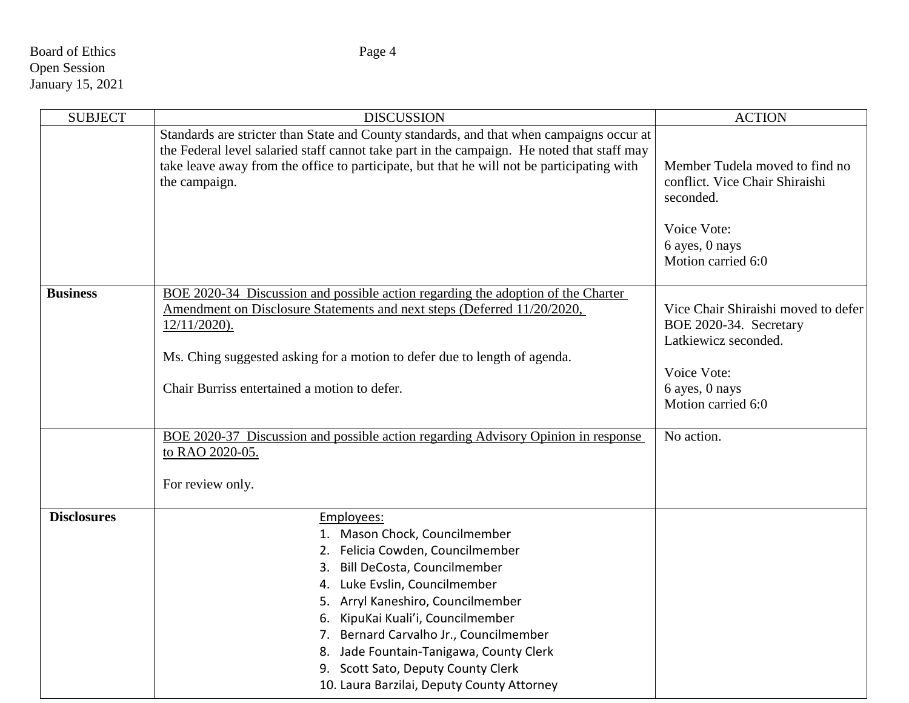# Board of Ethics Page 4 Open Session January 15, 2021

| <b>SUBJECT</b>     | <b>DISCUSSION</b>                                                                                                                                                                                                                                                                                                                                                                                     | <b>ACTION</b>                                                                                                                                |
|--------------------|-------------------------------------------------------------------------------------------------------------------------------------------------------------------------------------------------------------------------------------------------------------------------------------------------------------------------------------------------------------------------------------------------------|----------------------------------------------------------------------------------------------------------------------------------------------|
|                    | Standards are stricter than State and County standards, and that when campaigns occur at<br>the Federal level salaried staff cannot take part in the campaign. He noted that staff may<br>take leave away from the office to participate, but that he will not be participating with<br>the campaign.                                                                                                 | Member Tudela moved to find no<br>conflict. Vice Chair Shiraishi<br>seconded.<br>Voice Vote:<br>6 ayes, 0 nays<br>Motion carried 6:0         |
| <b>Business</b>    | BOE 2020-34 Discussion and possible action regarding the adoption of the Charter<br>Amendment on Disclosure Statements and next steps (Deferred 11/20/2020,<br>$12/11/2020$ .<br>Ms. Ching suggested asking for a motion to defer due to length of agenda.<br>Chair Burriss entertained a motion to defer.                                                                                            | Vice Chair Shiraishi moved to defer<br>BOE 2020-34. Secretary<br>Latkiewicz seconded.<br>Voice Vote:<br>6 ayes, 0 nays<br>Motion carried 6:0 |
|                    | BOE 2020-37 Discussion and possible action regarding Advisory Opinion in response<br>to RAO 2020-05.<br>For review only.                                                                                                                                                                                                                                                                              | No action.                                                                                                                                   |
| <b>Disclosures</b> | Employees:<br>1. Mason Chock, Councilmember<br>2. Felicia Cowden, Councilmember<br>3. Bill DeCosta, Councilmember<br>4. Luke Evslin, Councilmember<br>5. Arryl Kaneshiro, Councilmember<br>6. KipuKai Kuali'i, Councilmember<br>7. Bernard Carvalho Jr., Councilmember<br>8. Jade Fountain-Tanigawa, County Clerk<br>9. Scott Sato, Deputy County Clerk<br>10. Laura Barzilai, Deputy County Attorney |                                                                                                                                              |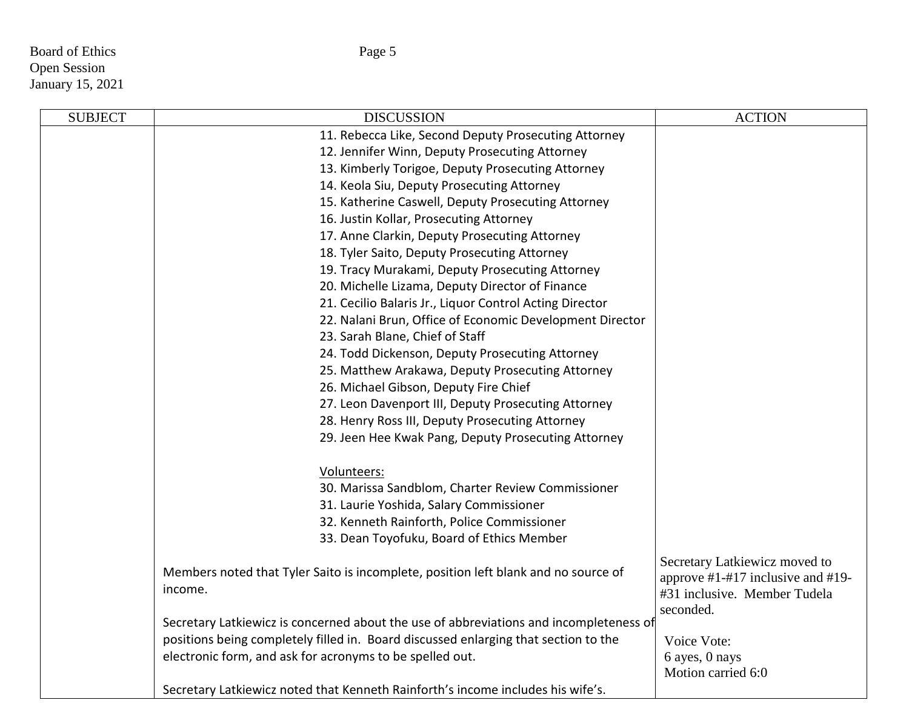Board of Ethics Page 5 Open Session January 15, 2021

| <b>SUBJECT</b> | <b>DISCUSSION</b>                                                                      | <b>ACTION</b>                                                               |
|----------------|----------------------------------------------------------------------------------------|-----------------------------------------------------------------------------|
|                | 11. Rebecca Like, Second Deputy Prosecuting Attorney                                   |                                                                             |
|                | 12. Jennifer Winn, Deputy Prosecuting Attorney                                         |                                                                             |
|                | 13. Kimberly Torigoe, Deputy Prosecuting Attorney                                      |                                                                             |
|                | 14. Keola Siu, Deputy Prosecuting Attorney                                             |                                                                             |
|                | 15. Katherine Caswell, Deputy Prosecuting Attorney                                     |                                                                             |
|                | 16. Justin Kollar, Prosecuting Attorney                                                |                                                                             |
|                | 17. Anne Clarkin, Deputy Prosecuting Attorney                                          |                                                                             |
|                | 18. Tyler Saito, Deputy Prosecuting Attorney                                           |                                                                             |
|                | 19. Tracy Murakami, Deputy Prosecuting Attorney                                        |                                                                             |
|                | 20. Michelle Lizama, Deputy Director of Finance                                        |                                                                             |
|                | 21. Cecilio Balaris Jr., Liquor Control Acting Director                                |                                                                             |
|                | 22. Nalani Brun, Office of Economic Development Director                               |                                                                             |
|                | 23. Sarah Blane, Chief of Staff                                                        |                                                                             |
|                | 24. Todd Dickenson, Deputy Prosecuting Attorney                                        |                                                                             |
|                | 25. Matthew Arakawa, Deputy Prosecuting Attorney                                       |                                                                             |
|                | 26. Michael Gibson, Deputy Fire Chief                                                  |                                                                             |
|                | 27. Leon Davenport III, Deputy Prosecuting Attorney                                    |                                                                             |
|                | 28. Henry Ross III, Deputy Prosecuting Attorney                                        |                                                                             |
|                | 29. Jeen Hee Kwak Pang, Deputy Prosecuting Attorney                                    |                                                                             |
|                | Volunteers:                                                                            |                                                                             |
|                | 30. Marissa Sandblom, Charter Review Commissioner                                      |                                                                             |
|                | 31. Laurie Yoshida, Salary Commissioner                                                |                                                                             |
|                | 32. Kenneth Rainforth, Police Commissioner                                             |                                                                             |
|                | 33. Dean Toyofuku, Board of Ethics Member                                              |                                                                             |
|                | Members noted that Tyler Saito is incomplete, position left blank and no source of     | Secretary Latkiewicz moved to                                               |
|                | income.                                                                                | approve $\#1 - \#17$ inclusive and $\#19$ -<br>#31 inclusive. Member Tudela |
|                |                                                                                        | seconded.                                                                   |
|                | Secretary Latkiewicz is concerned about the use of abbreviations and incompleteness of |                                                                             |
|                | positions being completely filled in. Board discussed enlarging that section to the    | Voice Vote:                                                                 |
|                | electronic form, and ask for acronyms to be spelled out.                               | 6 ayes, 0 nays<br>Motion carried 6:0                                        |
|                | Secretary Latkiewicz noted that Kenneth Rainforth's income includes his wife's.        |                                                                             |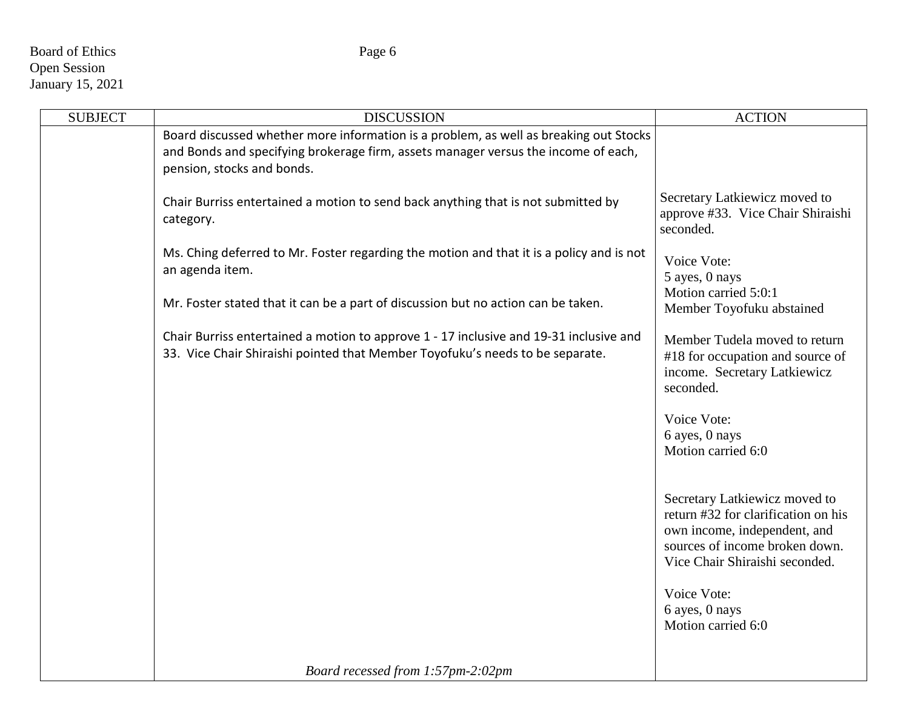# Board of Ethics Page 6 Open Session January 15, 2021

| <b>SUBJECT</b> | <b>DISCUSSION</b>                                                                                                                                                                                         | <b>ACTION</b>                                                                                                                                                            |
|----------------|-----------------------------------------------------------------------------------------------------------------------------------------------------------------------------------------------------------|--------------------------------------------------------------------------------------------------------------------------------------------------------------------------|
|                | Board discussed whether more information is a problem, as well as breaking out Stocks<br>and Bonds and specifying brokerage firm, assets manager versus the income of each,<br>pension, stocks and bonds. |                                                                                                                                                                          |
|                | Chair Burriss entertained a motion to send back anything that is not submitted by<br>category.                                                                                                            | Secretary Latkiewicz moved to<br>approve #33. Vice Chair Shiraishi<br>seconded.                                                                                          |
|                | Ms. Ching deferred to Mr. Foster regarding the motion and that it is a policy and is not<br>an agenda item.                                                                                               | Voice Vote:<br>5 ayes, 0 nays                                                                                                                                            |
|                | Mr. Foster stated that it can be a part of discussion but no action can be taken.                                                                                                                         | Motion carried 5:0:1<br>Member Toyofuku abstained                                                                                                                        |
|                | Chair Burriss entertained a motion to approve 1 - 17 inclusive and 19-31 inclusive and<br>33. Vice Chair Shiraishi pointed that Member Toyofuku's needs to be separate.                                   | Member Tudela moved to return<br>#18 for occupation and source of<br>income. Secretary Latkiewicz<br>seconded.                                                           |
|                |                                                                                                                                                                                                           | Voice Vote:<br>6 ayes, 0 nays<br>Motion carried 6:0                                                                                                                      |
|                |                                                                                                                                                                                                           | Secretary Latkiewicz moved to<br>return #32 for clarification on his<br>own income, independent, and<br>sources of income broken down.<br>Vice Chair Shiraishi seconded. |
|                |                                                                                                                                                                                                           | Voice Vote:<br>6 ayes, 0 nays<br>Motion carried 6:0                                                                                                                      |
|                | Board recessed from 1:57pm-2:02pm                                                                                                                                                                         |                                                                                                                                                                          |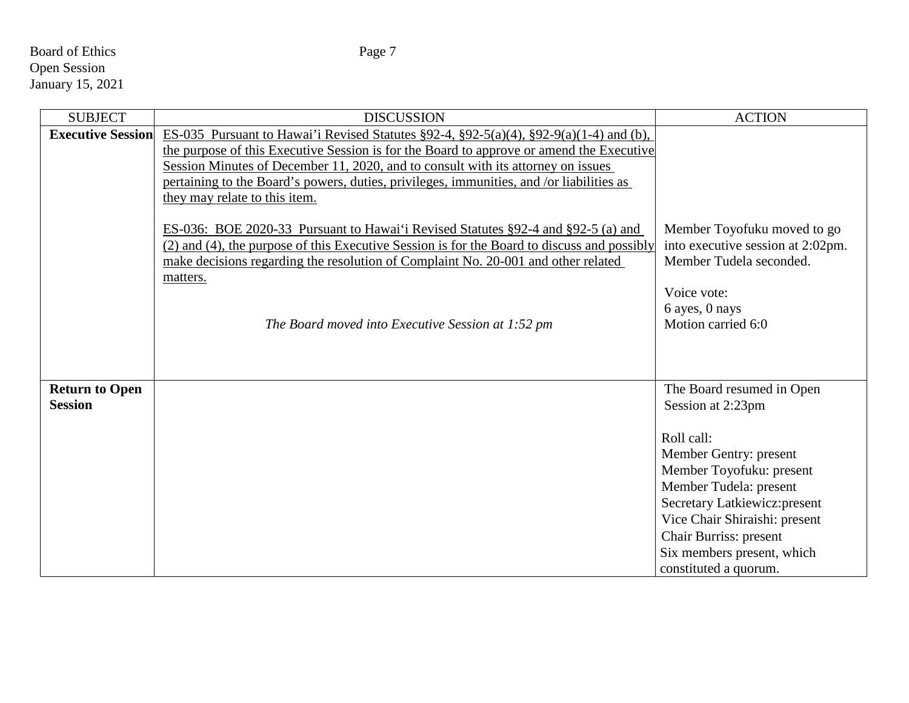# Board of Ethics Page 7 Open Session January 15, 2021

| <b>SUBJECT</b>           | <b>DISCUSSION</b>                                                                                    | <b>ACTION</b>                     |
|--------------------------|------------------------------------------------------------------------------------------------------|-----------------------------------|
| <b>Executive Session</b> | ES-035 Pursuant to Hawai'i Revised Statutes $\S 92-4$ , $\S 92-5(a)(4)$ , $\S 92-9(a)(1-4)$ and (b), |                                   |
|                          | the purpose of this Executive Session is for the Board to approve or amend the Executive             |                                   |
|                          | Session Minutes of December 11, 2020, and to consult with its attorney on issues                     |                                   |
|                          | pertaining to the Board's powers, duties, privileges, immunities, and /or liabilities as             |                                   |
|                          | they may relate to this item.                                                                        |                                   |
|                          | ES-036: BOE 2020-33 Pursuant to Hawai'i Revised Statutes §92-4 and §92-5 (a) and                     | Member Toyofuku moved to go       |
|                          | (2) and (4), the purpose of this Executive Session is for the Board to discuss and possibly          | into executive session at 2:02pm. |
|                          | make decisions regarding the resolution of Complaint No. 20-001 and other related                    | Member Tudela seconded.           |
|                          | matters.                                                                                             |                                   |
|                          |                                                                                                      | Voice vote:                       |
|                          |                                                                                                      | 6 ayes, 0 nays                    |
|                          | The Board moved into Executive Session at 1:52 pm                                                    | Motion carried 6:0                |
|                          |                                                                                                      |                                   |
|                          |                                                                                                      |                                   |
| <b>Return to Open</b>    |                                                                                                      | The Board resumed in Open         |
| <b>Session</b>           |                                                                                                      | Session at 2:23pm                 |
|                          |                                                                                                      |                                   |
|                          |                                                                                                      | Roll call:                        |
|                          |                                                                                                      | Member Gentry: present            |
|                          |                                                                                                      | Member Toyofuku: present          |
|                          |                                                                                                      | Member Tudela: present            |
|                          |                                                                                                      | Secretary Latkiewicz: present     |
|                          |                                                                                                      | Vice Chair Shiraishi: present     |
|                          |                                                                                                      | Chair Burriss: present            |
|                          |                                                                                                      | Six members present, which        |
|                          |                                                                                                      | constituted a quorum.             |